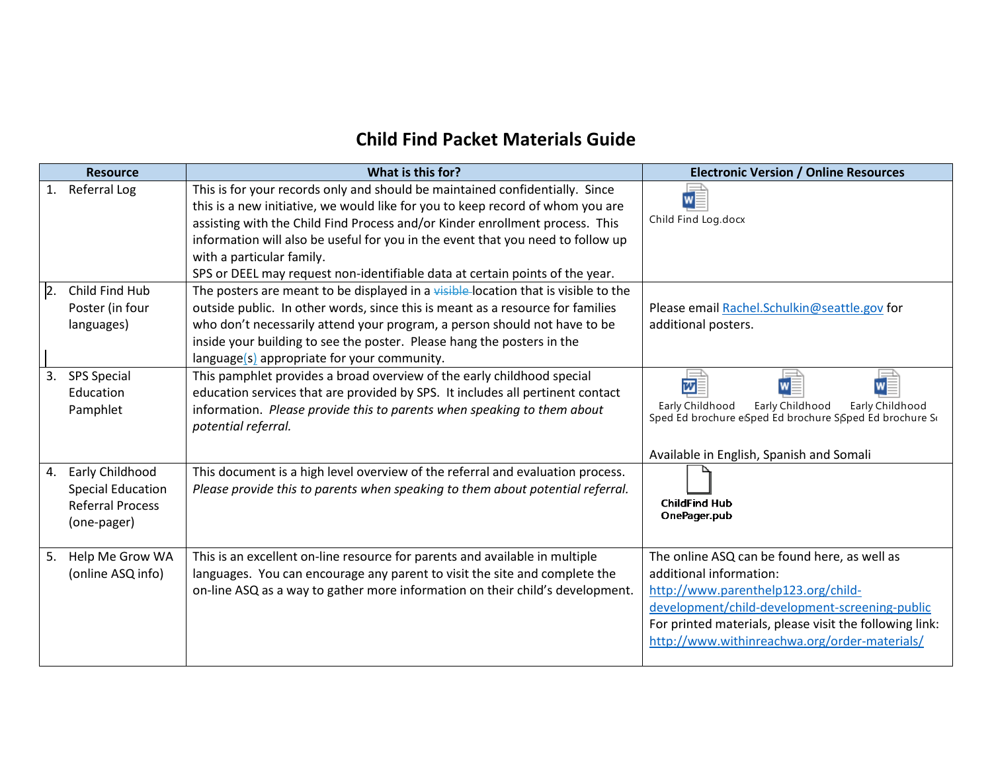## **Child Find Packet Materials Guide**

| <b>Resource</b>                                                                             | What is this for?                                                                                                                                                                                                                                                                                                                                                                                                                              | <b>Electronic Version / Online Resources</b>                                                                                                                                                                                                                                 |
|---------------------------------------------------------------------------------------------|------------------------------------------------------------------------------------------------------------------------------------------------------------------------------------------------------------------------------------------------------------------------------------------------------------------------------------------------------------------------------------------------------------------------------------------------|------------------------------------------------------------------------------------------------------------------------------------------------------------------------------------------------------------------------------------------------------------------------------|
| 1. Referral Log                                                                             | This is for your records only and should be maintained confidentially. Since<br>this is a new initiative, we would like for you to keep record of whom you are<br>assisting with the Child Find Process and/or Kinder enrollment process. This<br>information will also be useful for you in the event that you need to follow up<br>with a particular family.<br>SPS or DEEL may request non-identifiable data at certain points of the year. | w<br>Child Find Log.docx                                                                                                                                                                                                                                                     |
| Child Find Hub<br>$\overline{2}$ .<br>Poster (in four<br>languages)                         | The posters are meant to be displayed in a visible-location that is visible to the<br>outside public. In other words, since this is meant as a resource for families<br>who don't necessarily attend your program, a person should not have to be<br>inside your building to see the poster. Please hang the posters in the<br>language(s) appropriate for your community.                                                                     | Please email Rachel.Schulkin@seattle.gov for<br>additional posters.                                                                                                                                                                                                          |
| 3.<br><b>SPS Special</b><br>Education<br>Pamphlet                                           | This pamphlet provides a broad overview of the early childhood special<br>education services that are provided by SPS. It includes all pertinent contact<br>information. Please provide this to parents when speaking to them about<br>potential referral.                                                                                                                                                                                     | 四≣<br>Early Childhood<br>Early Childhood<br>Early Childhood<br>Sped Ed brochure eSped Ed brochure SSped Ed brochure S<br>Available in English, Spanish and Somali                                                                                                            |
| Early Childhood<br>4.<br><b>Special Education</b><br><b>Referral Process</b><br>(one-pager) | This document is a high level overview of the referral and evaluation process.<br>Please provide this to parents when speaking to them about potential referral.                                                                                                                                                                                                                                                                               | <b>ChildFind Hub</b><br>OnePager.pub                                                                                                                                                                                                                                         |
| 5. Help Me Grow WA<br>(online ASQ info)                                                     | This is an excellent on-line resource for parents and available in multiple<br>languages. You can encourage any parent to visit the site and complete the<br>on-line ASQ as a way to gather more information on their child's development.                                                                                                                                                                                                     | The online ASQ can be found here, as well as<br>additional information:<br>http://www.parenthelp123.org/child-<br>development/child-development-screening-public<br>For printed materials, please visit the following link:<br>http://www.withinreachwa.org/order-materials/ |